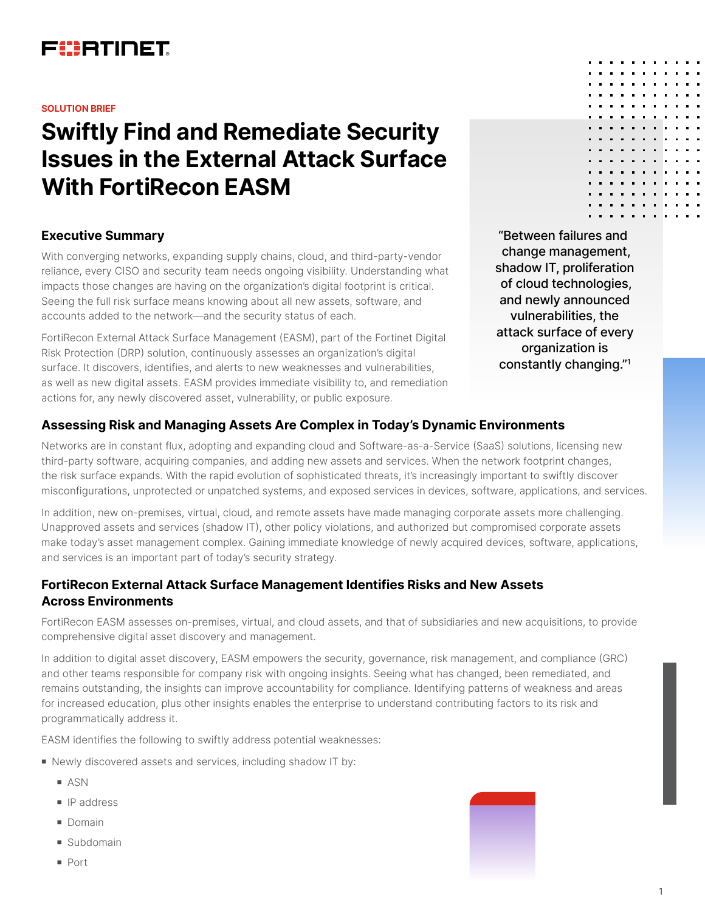

#### **SOLUTION BRIEF**

# **Swiftly Find and Remediate Security Issues in the External Attack Surface With FortiRecon EASM**

## **Executive Summary**

With converging networks, expanding supply chains, cloud, and third-party-vendor reliance, every CISO and security team needs ongoing visibility. Understanding what impacts those changes are having on the organization's digital footprint is critical. Seeing the full risk surface means knowing about all new assets, software, and accounts added to the network—and the security status of each.

FortiRecon External Attack Surface Management (EASM), part of the Fortinet Digital Risk Protection (DRP) solution, continuously assesses an organization's digital surface. It discovers, identifies, and alerts to new weaknesses and vulnerabilities, as well as new digital assets. EASM provides immediate visibility to, and remediation actions for, any newly discovered asset, vulnerability, or public exposure.

"Between failures and change management, shadow IT, proliferation of cloud technologies, and newly announced vulnerabilities, the attack surface of every organization is constantly changing."1

## **Assessing Risk and Managing Assets Are Complex in Today's Dynamic Environments**

Networks are in constant flux, adopting and expanding cloud and Software-as-a-Service (SaaS) solutions, licensing new third-party software, acquiring companies, and adding new assets and services. When the network footprint changes, the risk surface expands. With the rapid evolution of sophisticated threats, it's increasingly important to swiftly discover misconfigurations, unprotected or unpatched systems, and exposed services in devices, software, applications, and services.

In addition, new on-premises, virtual, cloud, and remote assets have made managing corporate assets more challenging. Unapproved assets and services (shadow IT), other policy violations, and authorized but compromised corporate assets make today's asset management complex. Gaining immediate knowledge of newly acquired devices, software, applications, and services is an important part of today's security strategy.

## **FortiRecon External Attack Surface Management Identifies Risks and New Assets Across Environments**

FortiRecon EASM assesses on-premises, virtual, and cloud assets, and that of subsidiaries and new acquisitions, to provide comprehensive digital asset discovery and management.

In addition to digital asset discovery, EASM empowers the security, governance, risk management, and compliance (GRC) and other teams responsible for company risk with ongoing insights. Seeing what has changed, been remediated, and remains outstanding, the insights can improve accountability for compliance. Identifying patterns of weakness and areas for increased education, plus other insights enables the enterprise to understand contributing factors to its risk and programmatically address it.

EASM identifies the following to swiftly address potential weaknesses:

- Newly discovered assets and services, including shadow IT by:
	- **n** ASN
	- **n** IP address
	- **Domain**
	- Subdomain
	- <sup>n</sup> Port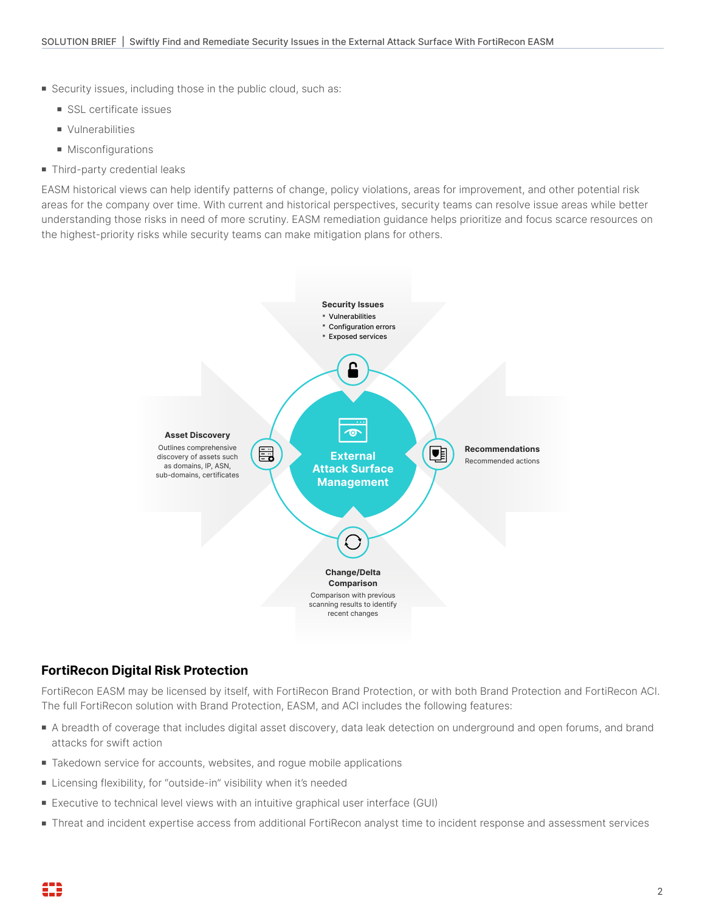- **Example 2** Security issues, including those in the public cloud, such as:
	- SSL certificate issues
	- **N** Vulnerabilities
	- $\blacksquare$  Misconfigurations
- $\blacksquare$  Third-party credential leaks

EASM historical views can help identify patterns of change, policy violations, areas for improvement, and other potential risk areas for the company over time. With current and historical perspectives, security teams can resolve issue areas while better understanding those risks in need of more scrutiny. EASM remediation guidance helps prioritize and focus scarce resources on the highest-priority risks while security teams can make mitigation plans for others.



## **FortiRecon Digital Risk Protection**

FortiRecon EASM may be licensed by itself, with FortiRecon Brand Protection, or with both Brand Protection and FortiRecon ACI. The full FortiRecon solution with Brand Protection, EASM, and ACI includes the following features:

- A breadth of coverage that includes digital asset discovery, data leak detection on underground and open forums, and brand attacks for swift action
- Takedown service for accounts, websites, and rogue mobile applications
- Licensing flexibility, for "outside-in" visibility when it's needed
- Executive to technical level views with an intuitive graphical user interface (GUI)
- Threat and incident expertise access from additional FortiRecon analyst time to incident response and assessment services